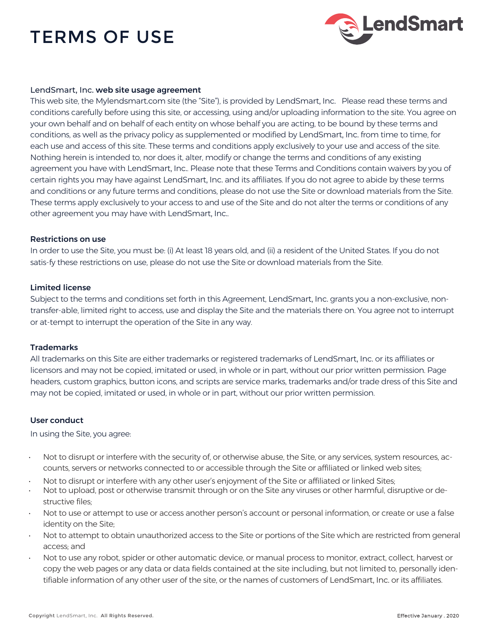# TERMS OF USE



#### LendSmart, Inc. web site usage agreement

This web site, the Mylendsmart.com site (the "Site"), is provided by LendSmart, Inc. Please read these terms and conditions carefully before using this site, or accessing, using and/or uploading information to the site. You agree on your own behalf and on behalf of each entity on whose behalf you are acting, to be bound by these terms and conditions, as well as the privacy policy as supplemented or modified by LendSmart, Inc. from time to time, for each use and access of this site. These terms and conditions apply exclusively to your use and access of the site. Nothing herein is intended to, nor does it, alter, modify or change the terms and conditions of any existing agreement you have with LendSmart, Inc.. Please note that these Terms and Conditions contain waivers by you of certain rights you may have against LendSmart, Inc. and its affiliates. If you do not agree to abide by these terms and conditions or any future terms and conditions, please do not use the Site or download materials from the Site. These terms apply exclusively to your access to and use of the Site and do not alter the terms or conditions of any other agreement you may have with LendSmart, Inc..

#### Restrictions on use

In order to use the Site, you must be: (i) At least 18 years old, and (ii) a resident of the United States. If you do not satis-fy these restrictions on use, please do not use the Site or download materials from the Site.

#### Limited license

Subject to the terms and conditions set forth in this Agreement, LendSmart, Inc. grants you a non-exclusive, nontransfer-able, limited right to access, use and display the Site and the materials there on. You agree not to interrupt or at-tempt to interrupt the operation of the Site in any way.

#### **Trademarks**

All trademarks on this Site are either trademarks or registered trademarks of LendSmart, Inc. or its affiliates or licensors and may not be copied, imitated or used, in whole or in part, without our prior written permission. Page headers, custom graphics, button icons, and scripts are service marks, trademarks and/or trade dress of this Site and may not be copied, imitated or used, in whole or in part, without our prior written permission.

#### User conduct

In using the Site, you agree:

- Not to disrupt or interfere with the security of, or otherwise abuse, the Site, or any services, system resources, accounts, servers or networks connected to or accessible through the Site or affiliated or linked web sites;
- Not to disrupt or interfere with any other user's enjoyment of the Site or affiliated or linked Sites;
- Not to upload, post or otherwise transmit through or on the Site any viruses or other harmful, disruptive or destructive files;
- Not to use or attempt to use or access another person's account or personal information, or create or use a false identity on the Site;
- Not to attempt to obtain unauthorized access to the Site or portions of the Site which are restricted from general access; and
- Not to use any robot, spider or other automatic device, or manual process to monitor, extract, collect, harvest or copy the web pages or any data or data fields contained at the site including, but not limited to, personally identifiable information of any other user of the site, or the names of customers of LendSmart, Inc. or its affiliates.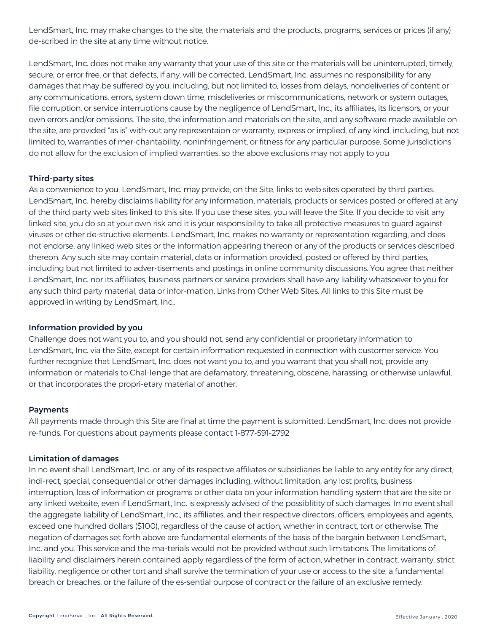LendSmart, Inc. may make changes to the site, the materials and the products, programs, services or prices (if any) de-scribed in the site at any time without notice.

LendSmart, Inc. does not make any warranty that your use of this site or the materials will be uninterrupted, timely, secure, or error free, or that defects, if any, will be corrected. LendSmart, Inc. assumes no responsibility for any damages that may be suffered by you, including, but not limited to, losses from delays, nondeliveries of content or any communications, errors, system down time, misdeliveries or miscommunications, network or system outages, file corruption, or service interruptions cause by the negligence of LendSmart, Inc., its affiliates, its licensors, or your own errors and/or omissions. The site, the information and materials on the site, and any software made available on the site, are provided "as is" with-out any representaion or warranty, express or implied, of any kind, including, but not limited to, warranties of mer-chantability, noninfringement, or fitness for any particular purpose. Some jurisdictions do not allow for the exclusion of implied warranties, so the above exclusions may not apply to you

## Third-party sites

As a convenience to you, LendSmart, Inc. may provide, on the Site, links to web sites operated by third parties. LendSmart, Inc. hereby disclaims liability for any information, materials, products or services posted or offered at any of the third party web sites linked to this site. If you use these sites, you will leave the Site. If you decide to visit any linked site, you do so at your own risk and it is your responsibility to take all protective measures to guard against viruses or other de-structive elements. LendSmart, Inc. makes no warranty or representation regarding, and does not endorse, any linked web sites or the information appearing thereon or any of the products or services described thereon. Any such site may contain material, data or information provided, posted or offered by third parties, including but not limited to adver-tisements and postings in online community discussions. You agree that neither LendSmart, Inc. nor its affiliates, business partners or service providers shall have any liability whatsoever to you for any such third party material, data or infor-mation. Links from Other Web Sites. All links to this Site must be approved in writing by LendSmart, Inc..

## Information provided by you

Challenge does not want you to, and you should not, send any confidential or proprietary information to LendSmart, Inc. via the Site, except for certain information requested in connection with customer service. You further recognize that LendSmart, Inc. does not want you to, and you warrant that you shall not, provide any information or materials to Chal-lenge that are defamatory, threatening, obscene, harassing, or otherwise unlawful, or that incorporates the propri-etary material of another.

## Payments

All payments made through this Site are final at time the payment is submitted. LendSmart, Inc. does not provide re-funds. For questions about payments please contact 1-877-591-2792

## Limitation of damages

In no event shall LendSmart, Inc. or any of its respective affiliates or subsidiaries be liable to any entity for any direct, indi-rect, special, consequential or other damages including, without limitation, any lost profits, business interruption, loss of information or programs or other data on your information handling system that are the site or any linked website, even if LendSmart, Inc. is expressly advised of the possiblitity of such damages. In no event shall the aggregate liability of LendSmart, Inc., its affiliates, and their respective directors, officers, employees and agents, exceed one hundred dollars (\$100), regardless of the cause of action, whether in contract, tort or otherwise. The negation of damages set forth above are fundamental elements of the basis of the bargain between LendSmart, Inc. and you. This service and the ma-terials would not be provided without such limitations. The limitations of liability and disclaimers herein contained apply regardless of the form of action, whether in contract, warranty, strict liability, negligence or other tort and shall survive the termination of your use or access to the site, a fundamental breach or breaches, or the failure of the es-sential purpose of contract or the failure of an exclusive remedy.